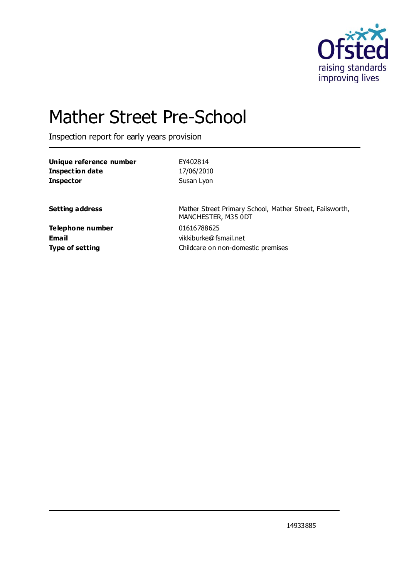

# Mather Street Pre-School

Inspection report for early years provision

| Unique reference number | EY402814                                                                        |
|-------------------------|---------------------------------------------------------------------------------|
| <b>Inspection date</b>  | 17/06/2010                                                                      |
| <b>Inspector</b>        | Susan Lyon                                                                      |
| <b>Setting address</b>  | Mather Street Primary School, Mather Street, Failsworth,<br>MANCHESTER, M35 0DT |
| Telephone number        | 01616788625                                                                     |
| Email                   | vikkiburke@fsmail.net                                                           |
| <b>Type of setting</b>  | Childcare on non-domestic premises                                              |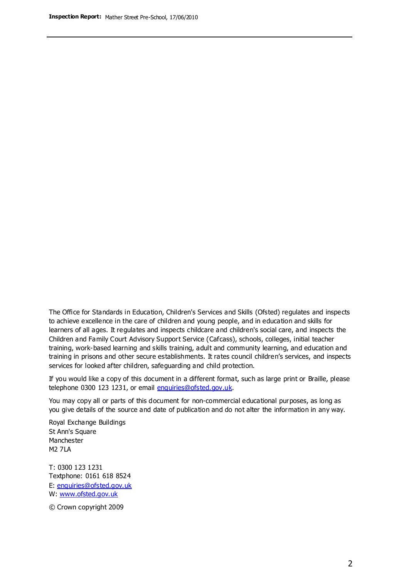The Office for Standards in Education, Children's Services and Skills (Ofsted) regulates and inspects to achieve excellence in the care of children and young people, and in education and skills for learners of all ages. It regulates and inspects childcare and children's social care, and inspects the Children and Family Court Advisory Support Service (Cafcass), schools, colleges, initial teacher training, work-based learning and skills training, adult and community learning, and education and training in prisons and other secure establishments. It rates council children's services, and inspects services for looked after children, safeguarding and child protection.

If you would like a copy of this document in a different format, such as large print or Braille, please telephone 0300 123 1231, or email enquiries@ofsted.gov.uk.

You may copy all or parts of this document for non-commercial educational purposes, as long as you give details of the source and date of publication and do not alter the information in any way.

Royal Exchange Buildings St Ann's Square Manchester M2 7LA

T: 0300 123 1231 Textphone: 0161 618 8524 E: enquiries@ofsted.gov.uk W: [www.ofsted.gov.uk](http://www.ofsted.gov.uk/)

© Crown copyright 2009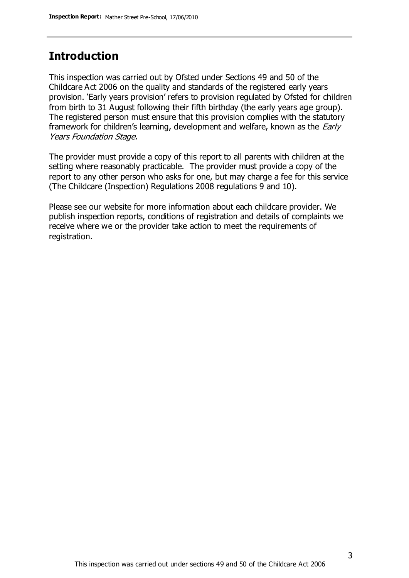### **Introduction**

This inspection was carried out by Ofsted under Sections 49 and 50 of the Childcare Act 2006 on the quality and standards of the registered early years provision. 'Early years provision' refers to provision regulated by Ofsted for children from birth to 31 August following their fifth birthday (the early years age group). The registered person must ensure that this provision complies with the statutory framework for children's learning, development and welfare, known as the *Early* Years Foundation Stage.

The provider must provide a copy of this report to all parents with children at the setting where reasonably practicable. The provider must provide a copy of the report to any other person who asks for one, but may charge a fee for this service (The Childcare (Inspection) Regulations 2008 regulations 9 and 10).

Please see our website for more information about each childcare provider. We publish inspection reports, conditions of registration and details of complaints we receive where we or the provider take action to meet the requirements of registration.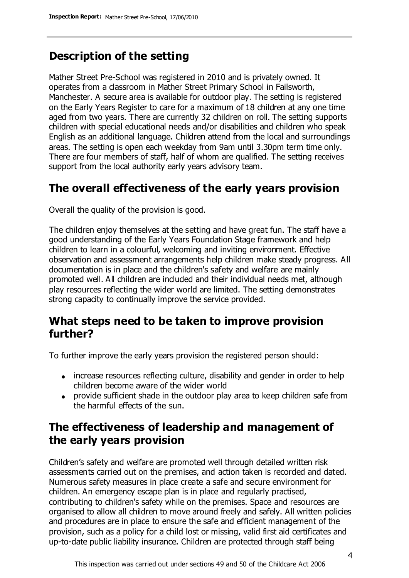# **Description of the setting**

Mather Street Pre-School was registered in 2010 and is privately owned. It operates from a classroom in Mather Street Primary School in Failsworth, Manchester. A secure area is available for outdoor play. The setting is registered on the Early Years Register to care for a maximum of 18 children at any one time aged from two years. There are currently 32 children on roll. The setting supports children with special educational needs and/or disabilities and children who speak English as an additional language. Children attend from the local and surroundings areas. The setting is open each weekday from 9am until 3.30pm term time only. There are four members of staff, half of whom are qualified. The setting receives support from the local authority early years advisory team.

# **The overall effectiveness of the early years provision**

Overall the quality of the provision is good.

The children enjoy themselves at the setting and have great fun. The staff have a good understanding of the Early Years Foundation Stage framework and help children to learn in a colourful, welcoming and inviting environment. Effective observation and assessment arrangements help children make steady progress. All documentation is in place and the children's safety and welfare are mainly promoted well. All children are included and their individual needs met, although play resources reflecting the wider world are limited. The setting demonstrates strong capacity to continually improve the service provided.

## **What steps need to be taken to improve provision further?**

To further improve the early years provision the registered person should:

- increase resources reflecting culture, disability and gender in order to help children become aware of the wider world
- provide sufficient shade in the outdoor play area to keep children safe from the harmful effects of the sun.

## **The effectiveness of leadership and management of the early years provision**

Children's safety and welfare are promoted well through detailed written risk assessments carried out on the premises, and action taken is recorded and dated. Numerous safety measures in place create a safe and secure environment for children. An emergency escape plan is in place and regularly practised, contributing to children's safety while on the premises. Space and resources are organised to allow all children to move around freely and safely. All written policies and procedures are in place to ensure the safe and efficient management of the provision, such as a policy for a child lost or missing, valid first aid certificates and up-to-date public liability insurance. Children are protected through staff being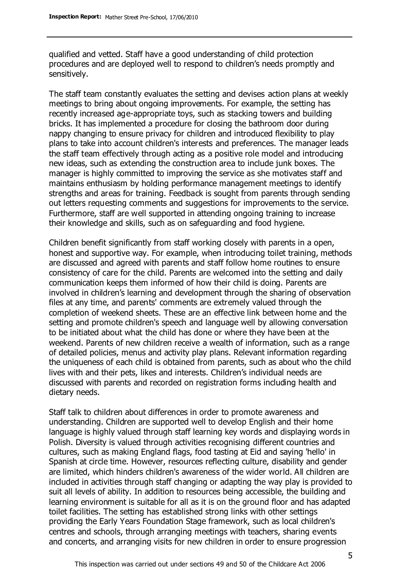qualified and vetted. Staff have a good understanding of child protection procedures and are deployed well to respond to children's needs promptly and sensitively.

The staff team constantly evaluates the setting and devises action plans at weekly meetings to bring about ongoing improvements. For example, the setting has recently increased age-appropriate toys, such as stacking towers and building bricks. It has implemented a procedure for closing the bathroom door during nappy changing to ensure privacy for children and introduced flexibility to play plans to take into account children's interests and preferences. The manager leads the staff team effectively through acting as a positive role model and introducing new ideas, such as extending the construction area to include junk boxes. The manager is highly committed to improving the service as she motivates staff and maintains enthusiasm by holding performance management meetings to identify strengths and areas for training. Feedback is sought from parents through sending out letters requesting comments and suggestions for improvements to the service. Furthermore, staff are well supported in attending ongoing training to increase their knowledge and skills, such as on safeguarding and food hygiene.

Children benefit significantly from staff working closely with parents in a open, honest and supportive way. For example, when introducing toilet training, methods are discussed and agreed with parents and staff follow home routines to ensure consistency of care for the child. Parents are welcomed into the setting and daily communication keeps them informed of how their child is doing. Parents are involved in children's learning and development through the sharing of observation files at any time, and parents' comments are extremely valued through the completion of weekend sheets. These are an effective link between home and the setting and promote children's speech and language well by allowing conversation to be initiated about what the child has done or where they have been at the weekend. Parents of new children receive a wealth of information, such as a range of detailed policies, menus and activity play plans. Relevant information regarding the uniqueness of each child is obtained from parents, such as about who the child lives with and their pets, likes and interests. Children's individual needs are discussed with parents and recorded on registration forms including health and dietary needs.

Staff talk to children about differences in order to promote awareness and understanding. Children are supported well to develop English and their home language is highly valued through staff learning key words and displaying words in Polish. Diversity is valued through activities recognising different countries and cultures, such as making England flags, food tasting at Eid and saying 'hello' in Spanish at circle time. However, resources reflecting culture, disability and gender are limited, which hinders children's awareness of the wider world. All children are included in activities through staff changing or adapting the way play is provided to suit all levels of ability. In addition to resources being accessible, the building and learning environment is suitable for all as it is on the ground floor and has adapted toilet facilities. The setting has established strong links with other settings providing the Early Years Foundation Stage framework, such as local children's centres and schools, through arranging meetings with teachers, sharing events and concerts, and arranging visits for new children in order to ensure progression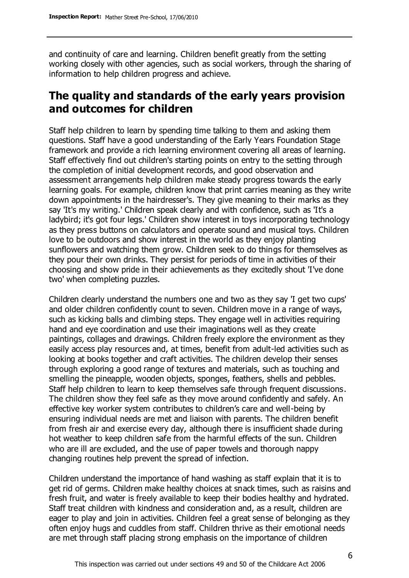and continuity of care and learning. Children benefit greatly from the setting working closely with other agencies, such as social workers, through the sharing of information to help children progress and achieve.

# **The quality and standards of the early years provision and outcomes for children**

Staff help children to learn by spending time talking to them and asking them questions. Staff have a good understanding of the Early Years Foundation Stage framework and provide a rich learning environment covering all areas of learning. Staff effectively find out children's starting points on entry to the setting through the completion of initial development records, and good observation and assessment arrangements help children make steady progress towards the early learning goals. For example, children know that print carries meaning as they write down appointments in the hairdresser's. They give meaning to their marks as they say 'It's my writing.' Children speak clearly and with confidence, such as 'It's a ladybird; it's got four legs.' Children show interest in toys incorporating technology as they press buttons on calculators and operate sound and musical toys. Children love to be outdoors and show interest in the world as they enjoy planting sunflowers and watching them grow. Children seek to do things for themselves as they pour their own drinks. They persist for periods of time in activities of their choosing and show pride in their achievements as they excitedly shout 'I've done two' when completing puzzles.

Children clearly understand the numbers one and two as they say 'I get two cups' and older children confidently count to seven. Children move in a range of ways, such as kicking balls and climbing steps. They engage well in activities requiring hand and eye coordination and use their imaginations well as they create paintings, collages and drawings. Children freely explore the environment as they easily access play resources and, at times, benefit from adult-led activities such as looking at books together and craft activities. The children develop their senses through exploring a good range of textures and materials, such as touching and smelling the pineapple, wooden objects, sponges, feathers, shells and pebbles. Staff help children to learn to keep themselves safe through frequent discussions. The children show they feel safe as they move around confidently and safely. An effective key worker system contributes to children's care and well-being by ensuring individual needs are met and liaison with parents. The children benefit from fresh air and exercise every day, although there is insufficient shade during hot weather to keep children safe from the harmful effects of the sun. Children who are ill are excluded, and the use of paper towels and thorough nappy changing routines help prevent the spread of infection.

Children understand the importance of hand washing as staff explain that it is to get rid of germs. Children make healthy choices at snack times, such as raisins and fresh fruit, and water is freely available to keep their bodies healthy and hydrated. Staff treat children with kindness and consideration and, as a result, children are eager to play and join in activities. Children feel a great sense of belonging as they often enjoy hugs and cuddles from staff. Children thrive as their emotional needs are met through staff placing strong emphasis on the importance of children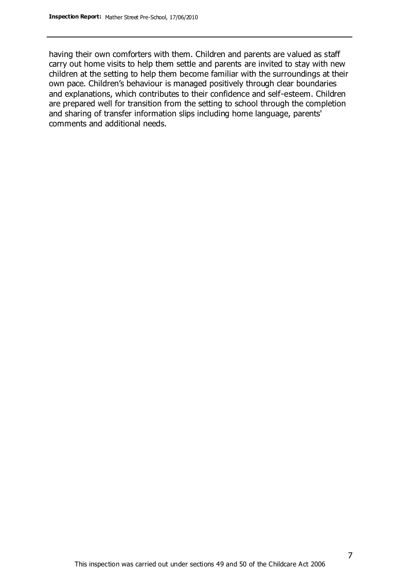having their own comforters with them. Children and parents are valued as staff carry out home visits to help them settle and parents are invited to stay with new children at the setting to help them become familiar with the surroundings at their own pace. Children's behaviour is managed positively through clear boundaries and explanations, which contributes to their confidence and self-esteem. Children are prepared well for transition from the setting to school through the completion and sharing of transfer information slips including home language, parents' comments and additional needs.